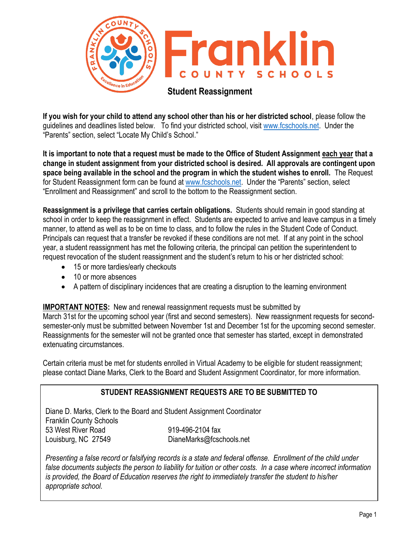

**If you wish for your child to attend any school other than his or her districted school**, please follow the guidelines and deadlines listed below. To find your districted school, visit [www.fcschools.net.](http://www.fcschools.net/) Under the "Parents" section, select "Locate My Child's School."

**It is important to note that a request must be made to the Office of Student Assignment each year that a change in student assignment from your districted school is desired. All approvals are contingent upon space being available in the school and the program in which the student wishes to enroll.** The Request for Student Reassignment form can be found at [www.fcschools.net.](http://www.fcschools.net/) Under the "Parents" section, select "Enrollment and Reassignment" and scroll to the bottom to the Reassignment section.

**Reassignment is a privilege that carries certain obligations.** Students should remain in good standing at school in order to keep the reassignment in effect. Students are expected to arrive and leave campus in a timely manner, to attend as well as to be on time to class, and to follow the rules in the Student Code of Conduct. Principals can request that a transfer be revoked if these conditions are not met. If at any point in the school year, a student reassignment has met the following criteria, the principal can petition the superintendent to request revocation of the student reassignment and the student's return to his or her districted school:

- 15 or more tardies/early checkouts
- 10 or more absences
- A pattern of disciplinary incidences that are creating a disruption to the learning environment

**IMPORTANT NOTES:** New and renewal reassignment requests must be submitted by

March 31st for the upcoming school year (first and second semesters). New reassignment requests for secondsemester-only must be submitted between November 1st and December 1st for the upcoming second semester. Reassignments for the semester will not be granted once that semester has started, except in demonstrated extenuating circumstances.

Certain criteria must be met for students enrolled in Virtual Academy to be eligible for student reassignment; please contact Diane Marks, Clerk to the Board and Student Assignment Coordinator, for more information.

## **STUDENT REASSIGNMENT REQUESTS ARE TO BE SUBMITTED TO**

Diane D. Marks, Clerk to the Board and Student Assignment Coordinator Franklin County Schools 53 West River Road 919-496-2104 fax Louisburg, NC 27549 DianeMarks@fcschools.net

*Presenting a false record or falsifying records is a state and federal offense. Enrollment of the child under false documents subjects the person to liability for tuition or other costs. In a case where incorrect information is provided, the Board of Education reserves the right to immediately transfer the student to his/her appropriate school.*